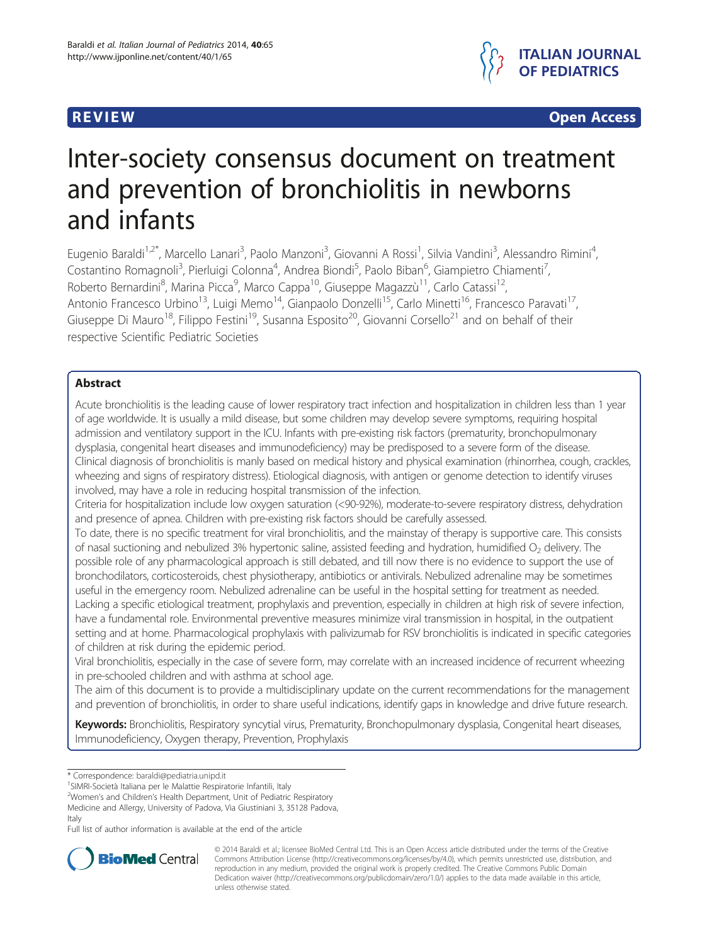

**REVIEW CONSTRUCTION CONSTRUCTION CONSTRUCTS** 

# Inter-society consensus document on treatment and prevention of bronchiolitis in newborns and infants

Eugenio Baraldi<sup>1,2\*</sup>, Marcello Lanari<sup>3</sup>, Paolo Manzoni<sup>3</sup>, Giovanni A Rossi<sup>1</sup>, Silvia Vandini<sup>3</sup>, Alessandro Rimini<sup>4</sup> , Costantino Romagnoli<sup>3</sup>, Pierluigi Colonna<sup>4</sup>, Andrea Biondi<sup>5</sup>, Paolo Biban<sup>6</sup>, Giampietro Chiamenti<sup>7</sup> , Roberto Bernardini<sup>8</sup>, Marina Picca<sup>9</sup>, Marco Cappa<sup>10</sup>, Giuseppe Magazzù<sup>11</sup>, Carlo Catassi<sup>12</sup>, Antonio Francesco Urbino<sup>13</sup>, Luigi Memo<sup>14</sup>, Gianpaolo Donzelli<sup>15</sup>, Carlo Minetti<sup>16</sup>, Francesco Paravati<sup>17</sup>, Giuseppe Di Mauro<sup>18</sup>, Filippo Festini<sup>19</sup>, Susanna Esposito<sup>20</sup>, Giovanni Corsello<sup>21</sup> and on behalf of their respective Scientific Pediatric Societies

# Abstract

Acute bronchiolitis is the leading cause of lower respiratory tract infection and hospitalization in children less than 1 year of age worldwide. It is usually a mild disease, but some children may develop severe symptoms, requiring hospital admission and ventilatory support in the ICU. Infants with pre-existing risk factors (prematurity, bronchopulmonary dysplasia, congenital heart diseases and immunodeficiency) may be predisposed to a severe form of the disease. Clinical diagnosis of bronchiolitis is manly based on medical history and physical examination (rhinorrhea, cough, crackles, wheezing and signs of respiratory distress). Etiological diagnosis, with antigen or genome detection to identify viruses involved, may have a role in reducing hospital transmission of the infection.

Criteria for hospitalization include low oxygen saturation (<90-92%), moderate-to-severe respiratory distress, dehydration and presence of apnea. Children with pre-existing risk factors should be carefully assessed.

To date, there is no specific treatment for viral bronchiolitis, and the mainstay of therapy is supportive care. This consists of nasal suctioning and nebulized 3% hypertonic saline, assisted feeding and hydration, humidified  $O<sub>2</sub>$  delivery. The possible role of any pharmacological approach is still debated, and till now there is no evidence to support the use of bronchodilators, corticosteroids, chest physiotherapy, antibiotics or antivirals. Nebulized adrenaline may be sometimes useful in the emergency room. Nebulized adrenaline can be useful in the hospital setting for treatment as needed. Lacking a specific etiological treatment, prophylaxis and prevention, especially in children at high risk of severe infection, have a fundamental role. Environmental preventive measures minimize viral transmission in hospital, in the outpatient setting and at home. Pharmacological prophylaxis with palivizumab for RSV bronchiolitis is indicated in specific categories of children at risk during the epidemic period.

Viral bronchiolitis, especially in the case of severe form, may correlate with an increased incidence of recurrent wheezing in pre-schooled children and with asthma at school age.

The aim of this document is to provide a multidisciplinary update on the current recommendations for the management and prevention of bronchiolitis, in order to share useful indications, identify gaps in knowledge and drive future research.

Keywords: Bronchiolitis, Respiratory syncytial virus, Prematurity, Bronchopulmonary dysplasia, Congenital heart diseases, Immunodeficiency, Oxygen therapy, Prevention, Prophylaxis

<sup>1</sup>SIMRI-Società Italiana per le Malattie Respiratorie Infantili, Italy

Medicine and Allergy, University of Padova, Via Giustiniani 3, 35128 Padova, Italy

Full list of author information is available at the end of the article



© 2014 Baraldi et al.; licensee BioMed Central Ltd. This is an Open Access article distributed under the terms of the Creative Commons Attribution License [\(http://creativecommons.org/licenses/by/4.0\)](http://creativecommons.org/licenses/by/4.0), which permits unrestricted use, distribution, and reproduction in any medium, provided the original work is properly credited. The Creative Commons Public Domain Dedication waiver [\(http://creativecommons.org/publicdomain/zero/1.0/](http://creativecommons.org/publicdomain/zero/1.0/)) applies to the data made available in this article, unless otherwise stated.

<sup>\*</sup> Correspondence: [baraldi@pediatria.unipd.it](mailto:baraldi@pediatria.unipd.it) <sup>1</sup>

<sup>&</sup>lt;sup>2</sup>Women's and Children's Health Department, Unit of Pediatric Respiratory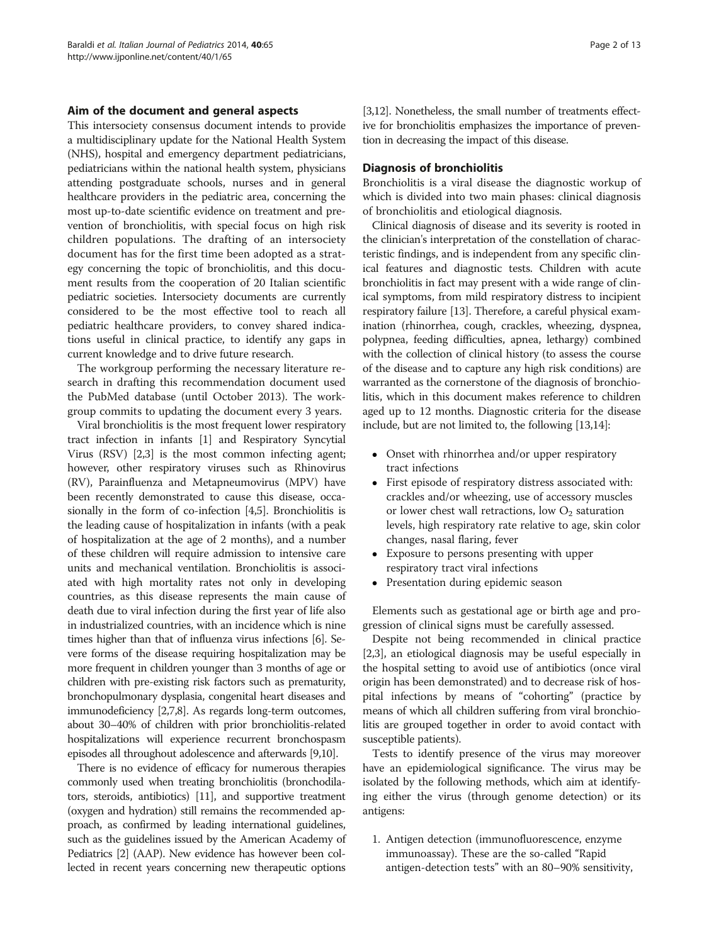#### Aim of the document and general aspects

This intersociety consensus document intends to provide a multidisciplinary update for the National Health System (NHS), hospital and emergency department pediatricians, pediatricians within the national health system, physicians attending postgraduate schools, nurses and in general healthcare providers in the pediatric area, concerning the most up-to-date scientific evidence on treatment and prevention of bronchiolitis, with special focus on high risk children populations. The drafting of an intersociety document has for the first time been adopted as a strategy concerning the topic of bronchiolitis, and this document results from the cooperation of 20 Italian scientific pediatric societies. Intersociety documents are currently considered to be the most effective tool to reach all pediatric healthcare providers, to convey shared indications useful in clinical practice, to identify any gaps in current knowledge and to drive future research.

The workgroup performing the necessary literature research in drafting this recommendation document used the PubMed database (until October 2013). The workgroup commits to updating the document every 3 years.

Viral bronchiolitis is the most frequent lower respiratory tract infection in infants [\[1](#page-10-0)] and Respiratory Syncytial Virus (RSV) [[2,3](#page-10-0)] is the most common infecting agent; however, other respiratory viruses such as Rhinovirus (RV), Parainfluenza and Metapneumovirus (MPV) have been recently demonstrated to cause this disease, occasionally in the form of co-infection [[4,5\]](#page-10-0). Bronchiolitis is the leading cause of hospitalization in infants (with a peak of hospitalization at the age of 2 months), and a number of these children will require admission to intensive care units and mechanical ventilation. Bronchiolitis is associated with high mortality rates not only in developing countries, as this disease represents the main cause of death due to viral infection during the first year of life also in industrialized countries, with an incidence which is nine times higher than that of influenza virus infections [\[6\]](#page-10-0). Severe forms of the disease requiring hospitalization may be more frequent in children younger than 3 months of age or children with pre-existing risk factors such as prematurity, bronchopulmonary dysplasia, congenital heart diseases and immunodeficiency [\[2,7,8\]](#page-10-0). As regards long-term outcomes, about 30–40% of children with prior bronchiolitis-related hospitalizations will experience recurrent bronchospasm episodes all throughout adolescence and afterwards [\[9,10](#page-10-0)].

There is no evidence of efficacy for numerous therapies commonly used when treating bronchiolitis (bronchodilators, steroids, antibiotics) [\[11\]](#page-10-0), and supportive treatment (oxygen and hydration) still remains the recommended approach, as confirmed by leading international guidelines, such as the guidelines issued by the American Academy of Pediatrics [[2\]](#page-10-0) (AAP). New evidence has however been collected in recent years concerning new therapeutic options

[[3,12\]](#page-10-0). Nonetheless, the small number of treatments effective for bronchiolitis emphasizes the importance of prevention in decreasing the impact of this disease.

#### Diagnosis of bronchiolitis

Bronchiolitis is a viral disease the diagnostic workup of which is divided into two main phases: clinical diagnosis of bronchiolitis and etiological diagnosis.

Clinical diagnosis of disease and its severity is rooted in the clinician's interpretation of the constellation of characteristic findings, and is independent from any specific clinical features and diagnostic tests. Children with acute bronchiolitis in fact may present with a wide range of clinical symptoms, from mild respiratory distress to incipient respiratory failure [\[13\]](#page-10-0). Therefore, a careful physical examination (rhinorrhea, cough, crackles, wheezing, dyspnea, polypnea, feeding difficulties, apnea, lethargy) combined with the collection of clinical history (to assess the course of the disease and to capture any high risk conditions) are warranted as the cornerstone of the diagnosis of bronchiolitis, which in this document makes reference to children aged up to 12 months. Diagnostic criteria for the disease include, but are not limited to, the following [[13,14\]](#page-10-0):

- Onset with rhinorrhea and/or upper respiratory tract infections
- First episode of respiratory distress associated with: crackles and/or wheezing, use of accessory muscles or lower chest wall retractions, low  $O<sub>2</sub>$  saturation levels, high respiratory rate relative to age, skin color changes, nasal flaring, fever
- Exposure to persons presenting with upper respiratory tract viral infections
- Presentation during epidemic season

Elements such as gestational age or birth age and progression of clinical signs must be carefully assessed.

Despite not being recommended in clinical practice [[2,3](#page-10-0)], an etiological diagnosis may be useful especially in the hospital setting to avoid use of antibiotics (once viral origin has been demonstrated) and to decrease risk of hospital infections by means of "cohorting" (practice by means of which all children suffering from viral bronchiolitis are grouped together in order to avoid contact with susceptible patients).

Tests to identify presence of the virus may moreover have an epidemiological significance. The virus may be isolated by the following methods, which aim at identifying either the virus (through genome detection) or its antigens:

1. Antigen detection (immunofluorescence, enzyme immunoassay). These are the so-called "Rapid antigen-detection tests" with an 80–90% sensitivity,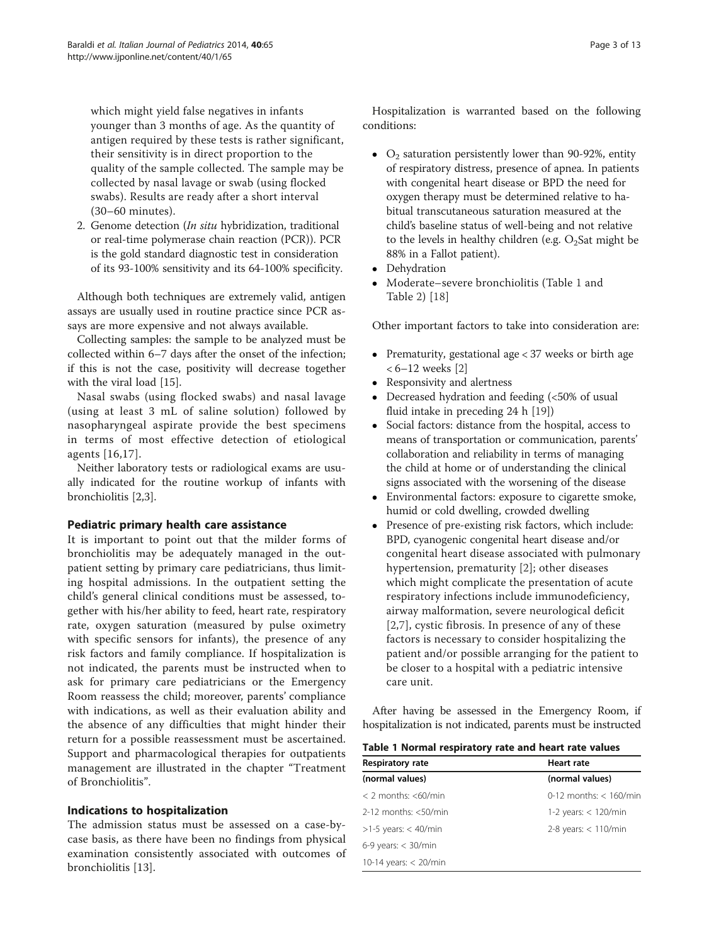<span id="page-2-0"></span>which might yield false negatives in infants younger than 3 months of age. As the quantity of antigen required by these tests is rather significant, their sensitivity is in direct proportion to the quality of the sample collected. The sample may be collected by nasal lavage or swab (using flocked swabs). Results are ready after a short interval (30–60 minutes).

2. Genome detection (In situ hybridization, traditional or real-time polymerase chain reaction (PCR)). PCR is the gold standard diagnostic test in consideration of its 93-100% sensitivity and its 64-100% specificity.

Although both techniques are extremely valid, antigen assays are usually used in routine practice since PCR assays are more expensive and not always available.

Collecting samples: the sample to be analyzed must be collected within 6–7 days after the onset of the infection; if this is not the case, positivity will decrease together with the viral load [\[15](#page-10-0)].

Nasal swabs (using flocked swabs) and nasal lavage (using at least 3 mL of saline solution) followed by nasopharyngeal aspirate provide the best specimens in terms of most effective detection of etiological agents [[16](#page-10-0),[17](#page-10-0)].

Neither laboratory tests or radiological exams are usually indicated for the routine workup of infants with bronchiolitis [\[2,3](#page-10-0)].

# Pediatric primary health care assistance

It is important to point out that the milder forms of bronchiolitis may be adequately managed in the outpatient setting by primary care pediatricians, thus limiting hospital admissions. In the outpatient setting the child's general clinical conditions must be assessed, together with his/her ability to feed, heart rate, respiratory rate, oxygen saturation (measured by pulse oximetry with specific sensors for infants), the presence of any risk factors and family compliance. If hospitalization is not indicated, the parents must be instructed when to ask for primary care pediatricians or the Emergency Room reassess the child; moreover, parents' compliance with indications, as well as their evaluation ability and the absence of any difficulties that might hinder their return for a possible reassessment must be ascertained. Support and pharmacological therapies for outpatients management are illustrated in the chapter "Treatment of Bronchiolitis".

# Indications to hospitalization

The admission status must be assessed on a case-bycase basis, as there have been no findings from physical examination consistently associated with outcomes of bronchiolitis [\[13](#page-10-0)].

Hospitalization is warranted based on the following conditions:

- $O<sub>2</sub>$  saturation persistently lower than 90-92%, entity of respiratory distress, presence of apnea. In patients with congenital heart disease or BPD the need for oxygen therapy must be determined relative to habitual transcutaneous saturation measured at the child's baseline status of well-being and not relative to the levels in healthy children (e.g.  $O_2$ Sat might be 88% in a Fallot patient).
- Dehydration
- Moderate–severe bronchiolitis (Table 1 and Table [2\)](#page-3-0) [\[18](#page-10-0)]

Other important factors to take into consideration are:

- Prematurity, gestational age  $<$  37 weeks or birth age < 6–12 weeks [\[2\]](#page-10-0)
- Responsivity and alertness<br>• Decreased hydration and t
- Decreased hydration and feeding (<50% of usual fluid intake in preceding 24 h [[19](#page-10-0)])
- Social factors: distance from the hospital, access to means of transportation or communication, parents' collaboration and reliability in terms of managing the child at home or of understanding the clinical signs associated with the worsening of the disease
- Environmental factors: exposure to cigarette smoke, humid or cold dwelling, crowded dwelling
- Presence of pre-existing risk factors, which include: BPD, cyanogenic congenital heart disease and/or congenital heart disease associated with pulmonary hypertension, prematurity [[2\]](#page-10-0); other diseases which might complicate the presentation of acute respiratory infections include immunodeficiency, airway malformation, severe neurological deficit [[2,7](#page-10-0)], cystic fibrosis. In presence of any of these factors is necessary to consider hospitalizing the patient and/or possible arranging for the patient to be closer to a hospital with a pediatric intensive care unit.

After having be assessed in the Emergency Room, if hospitalization is not indicated, parents must be instructed

|  | Table 1 Normal respiratory rate and heart rate values |
|--|-------------------------------------------------------|
|--|-------------------------------------------------------|

| <b>Respiratory rate</b>    | Heart rate                  |  |
|----------------------------|-----------------------------|--|
| (normal values)            | (normal values)             |  |
| $<$ 2 months: $<$ 60/min   | $0-12$ months: $< 160$ /min |  |
| $2-12$ months: $< 50$ /min | 1-2 years: $<$ 120/min      |  |
| $>1-5$ years: < 40/min     | 2-8 years: $<$ 110/min      |  |
| $6-9$ years: $<$ 30/min    |                             |  |
| 10-14 years: $<$ 20/min    |                             |  |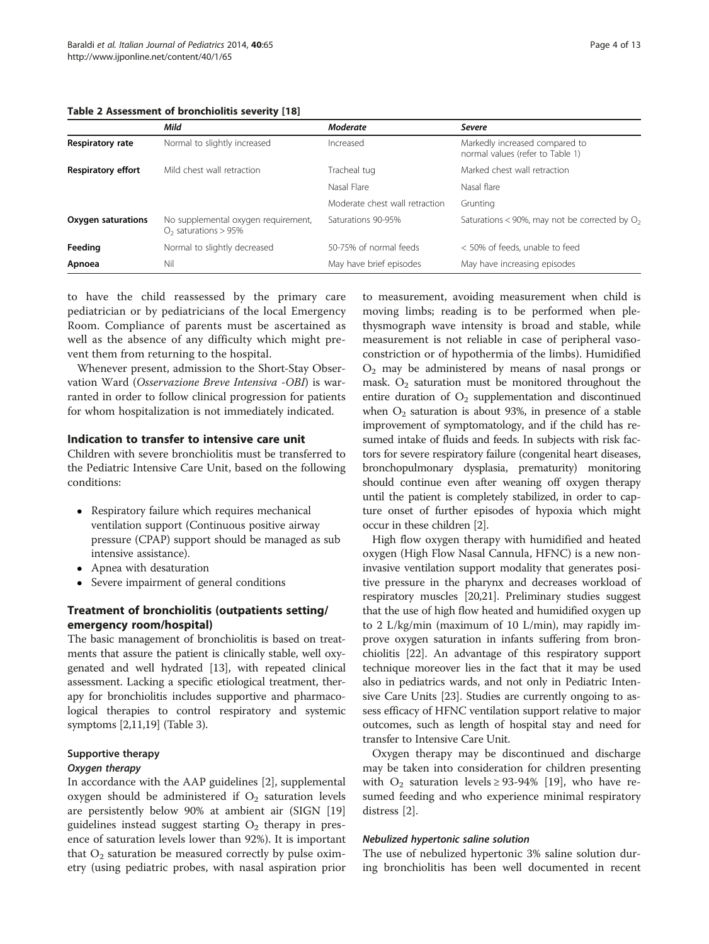<span id="page-3-0"></span>Table 2 Assessment of bronchiolitis severity [[18\]](#page-10-0)

|                           | Mild                                                          | <b>Moderate</b>                | <b>Severe</b>                                                      |
|---------------------------|---------------------------------------------------------------|--------------------------------|--------------------------------------------------------------------|
| Respiratory rate          | Normal to slightly increased                                  | Increased                      | Markedly increased compared to<br>normal values (refer to Table 1) |
| <b>Respiratory effort</b> | Mild chest wall retraction                                    | Tracheal tug                   | Marked chest wall retraction                                       |
|                           |                                                               | Nasal Flare                    | Nasal flare                                                        |
|                           |                                                               | Moderate chest wall retraction | Grunting                                                           |
| Oxygen saturations        | No supplemental oxygen requirement,<br>$O2$ saturations > 95% | Saturations 90-95%             | Saturations < 90%, may not be corrected by $O_2$                   |
| Feeding                   | Normal to slightly decreased                                  | 50-75% of normal feeds         | < 50% of feeds, unable to feed                                     |
| Apnoea                    | Nil                                                           | May have brief episodes        | May have increasing episodes                                       |

to have the child reassessed by the primary care pediatrician or by pediatricians of the local Emergency Room. Compliance of parents must be ascertained as well as the absence of any difficulty which might prevent them from returning to the hospital.

Whenever present, admission to the Short-Stay Observation Ward (Osservazione Breve Intensiva -OBI) is warranted in order to follow clinical progression for patients for whom hospitalization is not immediately indicated.

#### Indication to transfer to intensive care unit

Children with severe bronchiolitis must be transferred to the Pediatric Intensive Care Unit, based on the following conditions:

- Respiratory failure which requires mechanical ventilation support (Continuous positive airway pressure (CPAP) support should be managed as sub intensive assistance).
- Apnea with desaturation
- Severe impairment of general conditions

# Treatment of bronchiolitis (outpatients setting/ emergency room/hospital)

The basic management of bronchiolitis is based on treatments that assure the patient is clinically stable, well oxygenated and well hydrated [\[13\]](#page-10-0), with repeated clinical assessment. Lacking a specific etiological treatment, therapy for bronchiolitis includes supportive and pharmacological therapies to control respiratory and systemic symptoms [\[2,11,19\]](#page-10-0) (Table [3\)](#page-4-0).

# Supportive therapy

# Oxygen therapy

In accordance with the AAP guidelines [[2\]](#page-10-0), supplemental oxygen should be administered if  $O_2$  saturation levels are persistently below 90% at ambient air (SIGN [[19](#page-10-0)] guidelines instead suggest starting  $O_2$  therapy in presence of saturation levels lower than 92%). It is important that  $O_2$  saturation be measured correctly by pulse oximetry (using pediatric probes, with nasal aspiration prior

to measurement, avoiding measurement when child is moving limbs; reading is to be performed when plethysmograph wave intensity is broad and stable, while measurement is not reliable in case of peripheral vasoconstriction or of hypothermia of the limbs). Humidified  $O<sub>2</sub>$  may be administered by means of nasal prongs or mask.  $O_2$  saturation must be monitored throughout the entire duration of  $O<sub>2</sub>$  supplementation and discontinued when  $O_2$  saturation is about 93%, in presence of a stable improvement of symptomatology, and if the child has resumed intake of fluids and feeds. In subjects with risk factors for severe respiratory failure (congenital heart diseases, bronchopulmonary dysplasia, prematurity) monitoring should continue even after weaning off oxygen therapy until the patient is completely stabilized, in order to capture onset of further episodes of hypoxia which might occur in these children [\[2\]](#page-10-0).

High flow oxygen therapy with humidified and heated oxygen (High Flow Nasal Cannula, HFNC) is a new noninvasive ventilation support modality that generates positive pressure in the pharynx and decreases workload of respiratory muscles [\[20,21](#page-10-0)]. Preliminary studies suggest that the use of high flow heated and humidified oxygen up to 2 L/kg/min (maximum of 10 L/min), may rapidly improve oxygen saturation in infants suffering from bronchiolitis [\[22\]](#page-10-0). An advantage of this respiratory support technique moreover lies in the fact that it may be used also in pediatrics wards, and not only in Pediatric Intensive Care Units [[23](#page-10-0)]. Studies are currently ongoing to assess efficacy of HFNC ventilation support relative to major outcomes, such as length of hospital stay and need for transfer to Intensive Care Unit.

Oxygen therapy may be discontinued and discharge may be taken into consideration for children presenting with  $O_2$  saturation levels  $\geq$  93-94% [[19](#page-10-0)], who have resumed feeding and who experience minimal respiratory distress [\[2](#page-10-0)].

#### Nebulized hypertonic saline solution

The use of nebulized hypertonic 3% saline solution during bronchiolitis has been well documented in recent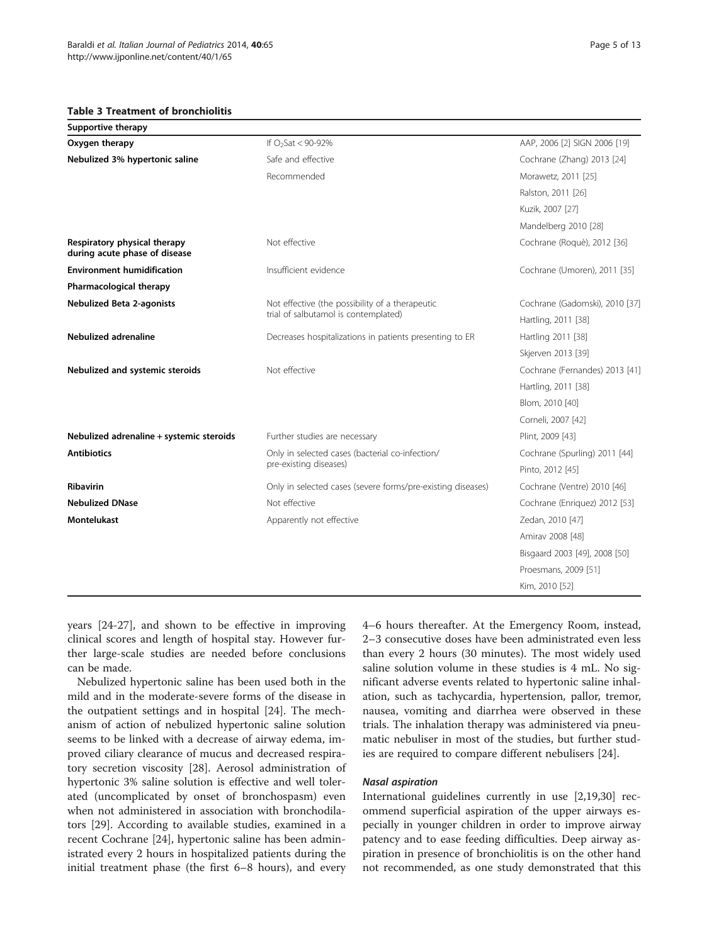#### <span id="page-4-0"></span>Table 3 Treatment of bronchiolitis

| <b>Supportive therapy</b>                                     |                                                                           |                                |
|---------------------------------------------------------------|---------------------------------------------------------------------------|--------------------------------|
| Oxygen therapy                                                | If $O_2$ Sat < 90-92%                                                     | AAP, 2006 [2] SIGN 2006 [19]   |
| Nebulized 3% hypertonic saline                                | Safe and effective                                                        | Cochrane (Zhang) 2013 [24]     |
|                                                               | Recommended                                                               | Morawetz, 2011 [25]            |
|                                                               |                                                                           | Ralston, 2011 [26]             |
|                                                               |                                                                           | Kuzik, 2007 [27]               |
|                                                               |                                                                           | Mandelberg 2010 [28]           |
| Respiratory physical therapy<br>during acute phase of disease | Not effective                                                             | Cochrane (Roquè), 2012 [36]    |
| <b>Environment humidification</b>                             | Insufficient evidence                                                     | Cochrane (Umoren), 2011 [35]   |
| Pharmacological therapy                                       |                                                                           |                                |
| <b>Nebulized Beta 2-agonists</b>                              | Not effective (the possibility of a therapeutic                           | Cochrane (Gadomski), 2010 [37] |
|                                                               | trial of salbutamol is contemplated)                                      | Hartling, 2011 [38]            |
| <b>Nebulized adrenaline</b>                                   | Decreases hospitalizations in patients presenting to ER                   | Hartling 2011 [38]             |
|                                                               |                                                                           | Skjerven 2013 [39]             |
| Nebulized and systemic steroids                               | Not effective                                                             | Cochrane (Fernandes) 2013 [41] |
|                                                               |                                                                           | Hartling, 2011 [38]            |
|                                                               |                                                                           | Blom, 2010 [40]                |
|                                                               |                                                                           | Corneli, 2007 [42]             |
| Nebulized adrenaline + systemic steroids                      | Further studies are necessary                                             | Plint, 2009 [43]               |
| <b>Antibiotics</b>                                            | Only in selected cases (bacterial co-infection/<br>pre-existing diseases) | Cochrane (Spurling) 2011 [44]  |
|                                                               |                                                                           | Pinto, 2012 [45]               |
| <b>Ribavirin</b>                                              | Only in selected cases (severe forms/pre-existing diseases)               | Cochrane (Ventre) 2010 [46]    |
| <b>Nebulized DNase</b>                                        | Not effective                                                             | Cochrane (Enriquez) 2012 [53]  |
| <b>Montelukast</b>                                            | Apparently not effective                                                  | Zedan, 2010 [47]               |
|                                                               |                                                                           | Amirav 2008 [48]               |
|                                                               |                                                                           | Bisgaard 2003 [49], 2008 [50]  |
|                                                               |                                                                           | Proesmans, 2009 [51]           |
|                                                               |                                                                           | Kim, 2010 [52]                 |

years [\[24](#page-10-0)-[27\]](#page-10-0), and shown to be effective in improving clinical scores and length of hospital stay. However further large-scale studies are needed before conclusions can be made.

Nebulized hypertonic saline has been used both in the mild and in the moderate-severe forms of the disease in the outpatient settings and in hospital [\[24\]](#page-10-0). The mechanism of action of nebulized hypertonic saline solution seems to be linked with a decrease of airway edema, improved ciliary clearance of mucus and decreased respiratory secretion viscosity [[28\]](#page-10-0). Aerosol administration of hypertonic 3% saline solution is effective and well tolerated (uncomplicated by onset of bronchospasm) even when not administered in association with bronchodilators [[29](#page-10-0)]. According to available studies, examined in a recent Cochrane [[24\]](#page-10-0), hypertonic saline has been administrated every 2 hours in hospitalized patients during the initial treatment phase (the first 6–8 hours), and every 4–6 hours thereafter. At the Emergency Room, instead, 2–3 consecutive doses have been administrated even less than every 2 hours (30 minutes). The most widely used saline solution volume in these studies is 4 mL. No significant adverse events related to hypertonic saline inhalation, such as tachycardia, hypertension, pallor, tremor, nausea, vomiting and diarrhea were observed in these trials. The inhalation therapy was administered via pneumatic nebuliser in most of the studies, but further studies are required to compare different nebulisers [\[24](#page-10-0)].

#### Nasal aspiration

International guidelines currently in use [\[2](#page-10-0),[19](#page-10-0),[30](#page-11-0)] recommend superficial aspiration of the upper airways especially in younger children in order to improve airway patency and to ease feeding difficulties. Deep airway aspiration in presence of bronchiolitis is on the other hand not recommended, as one study demonstrated that this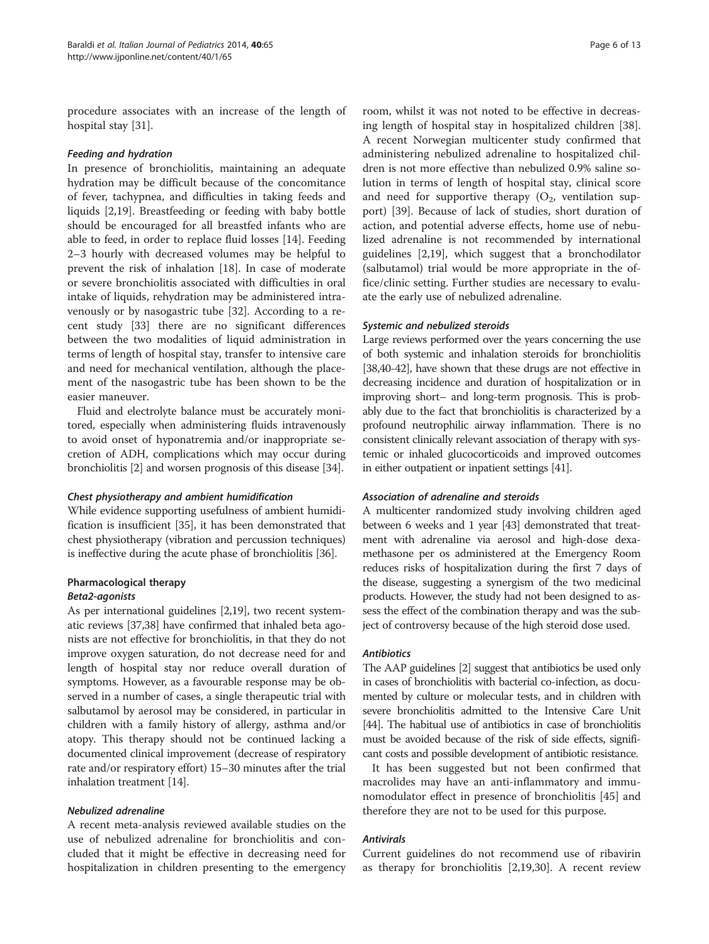procedure associates with an increase of the length of hospital stay [[31](#page-11-0)].

#### Feeding and hydration

In presence of bronchiolitis, maintaining an adequate hydration may be difficult because of the concomitance of fever, tachypnea, and difficulties in taking feeds and liquids [[2,19\]](#page-10-0). Breastfeeding or feeding with baby bottle should be encouraged for all breastfed infants who are able to feed, in order to replace fluid losses [[14](#page-10-0)]. Feeding 2–3 hourly with decreased volumes may be helpful to prevent the risk of inhalation [\[18](#page-10-0)]. In case of moderate or severe bronchiolitis associated with difficulties in oral intake of liquids, rehydration may be administered intravenously or by nasogastric tube [[32\]](#page-11-0). According to a recent study [\[33\]](#page-11-0) there are no significant differences between the two modalities of liquid administration in terms of length of hospital stay, transfer to intensive care and need for mechanical ventilation, although the placement of the nasogastric tube has been shown to be the easier maneuver.

Fluid and electrolyte balance must be accurately monitored, especially when administering fluids intravenously to avoid onset of hyponatremia and/or inappropriate secretion of ADH, complications which may occur during bronchiolitis [\[2](#page-10-0)] and worsen prognosis of this disease [[34\]](#page-11-0).

#### Chest physiotherapy and ambient humidification

While evidence supporting usefulness of ambient humidification is insufficient [\[35\]](#page-11-0), it has been demonstrated that chest physiotherapy (vibration and percussion techniques) is ineffective during the acute phase of bronchiolitis [\[36](#page-11-0)].

# Pharmacological therapy Beta2-agonists

As per international guidelines [\[2,19](#page-10-0)], two recent systematic reviews [[37,38\]](#page-11-0) have confirmed that inhaled beta agonists are not effective for bronchiolitis, in that they do not improve oxygen saturation, do not decrease need for and length of hospital stay nor reduce overall duration of symptoms. However, as a favourable response may be observed in a number of cases, a single therapeutic trial with salbutamol by aerosol may be considered, in particular in children with a family history of allergy, asthma and/or atopy. This therapy should not be continued lacking a documented clinical improvement (decrease of respiratory rate and/or respiratory effort) 15–30 minutes after the trial inhalation treatment [\[14\]](#page-10-0).

# Nebulized adrenaline

A recent meta-analysis reviewed available studies on the use of nebulized adrenaline for bronchiolitis and concluded that it might be effective in decreasing need for hospitalization in children presenting to the emergency

room, whilst it was not noted to be effective in decreasing length of hospital stay in hospitalized children [\[38](#page-11-0)]. A recent Norwegian multicenter study confirmed that administering nebulized adrenaline to hospitalized children is not more effective than nebulized 0.9% saline solution in terms of length of hospital stay, clinical score and need for supportive therapy  $(O_2,$  ventilation support) [\[39](#page-11-0)]. Because of lack of studies, short duration of action, and potential adverse effects, home use of nebulized adrenaline is not recommended by international guidelines [\[2,19](#page-10-0)], which suggest that a bronchodilator (salbutamol) trial would be more appropriate in the office/clinic setting. Further studies are necessary to evaluate the early use of nebulized adrenaline.

# Systemic and nebulized steroids

Large reviews performed over the years concerning the use of both systemic and inhalation steroids for bronchiolitis [[38,40-42](#page-11-0)], have shown that these drugs are not effective in decreasing incidence and duration of hospitalization or in improving short– and long-term prognosis. This is probably due to the fact that bronchiolitis is characterized by a profound neutrophilic airway inflammation. There is no consistent clinically relevant association of therapy with systemic or inhaled glucocorticoids and improved outcomes in either outpatient or inpatient settings [\[41\]](#page-11-0).

# Association of adrenaline and steroids

A multicenter randomized study involving children aged between 6 weeks and 1 year [[43](#page-11-0)] demonstrated that treatment with adrenaline via aerosol and high-dose dexamethasone per os administered at the Emergency Room reduces risks of hospitalization during the first 7 days of the disease, suggesting a synergism of the two medicinal products. However, the study had not been designed to assess the effect of the combination therapy and was the subject of controversy because of the high steroid dose used.

# **Antibiotics**

The AAP guidelines [\[2\]](#page-10-0) suggest that antibiotics be used only in cases of bronchiolitis with bacterial co-infection, as documented by culture or molecular tests, and in children with severe bronchiolitis admitted to the Intensive Care Unit [[44\]](#page-11-0). The habitual use of antibiotics in case of bronchiolitis must be avoided because of the risk of side effects, significant costs and possible development of antibiotic resistance.

It has been suggested but not been confirmed that macrolides may have an anti-inflammatory and immunomodulator effect in presence of bronchiolitis [\[45\]](#page-11-0) and therefore they are not to be used for this purpose.

# Antivirals

Current guidelines do not recommend use of ribavirin as therapy for bronchiolitis [\[2,19](#page-10-0)[,30\]](#page-11-0). A recent review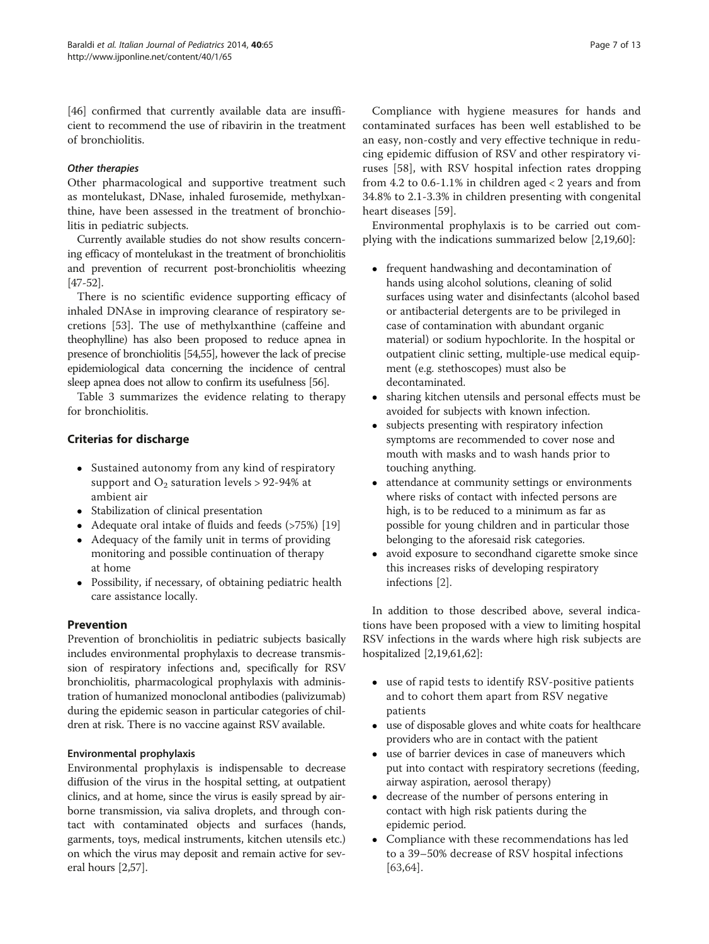[[46\]](#page-11-0) confirmed that currently available data are insufficient to recommend the use of ribavirin in the treatment of bronchiolitis.

# Other therapies

Other pharmacological and supportive treatment such as montelukast, DNase, inhaled furosemide, methylxanthine, have been assessed in the treatment of bronchiolitis in pediatric subjects.

Currently available studies do not show results concerning efficacy of montelukast in the treatment of bronchiolitis and prevention of recurrent post-bronchiolitis wheezing [[47](#page-11-0)-[52\]](#page-11-0).

There is no scientific evidence supporting efficacy of inhaled DNAse in improving clearance of respiratory secretions [\[53\]](#page-11-0). The use of methylxanthine (caffeine and theophylline) has also been proposed to reduce apnea in presence of bronchiolitis [\[54,55\]](#page-11-0), however the lack of precise epidemiological data concerning the incidence of central sleep apnea does not allow to confirm its usefulness [\[56\]](#page-11-0).

Table [3](#page-4-0) summarizes the evidence relating to therapy for bronchiolitis.

# Criterias for discharge

- Sustained autonomy from any kind of respiratory support and  $O_2$  saturation levels > 92-94% at ambient air
- Stabilization of clinical presentation
- Adequate oral intake of fluids and feeds (>75%) [[19](#page-10-0)]
- Adequacy of the family unit in terms of providing monitoring and possible continuation of therapy at home
- Possibility, if necessary, of obtaining pediatric health care assistance locally.

# Prevention

Prevention of bronchiolitis in pediatric subjects basically includes environmental prophylaxis to decrease transmission of respiratory infections and, specifically for RSV bronchiolitis, pharmacological prophylaxis with administration of humanized monoclonal antibodies (palivizumab) during the epidemic season in particular categories of children at risk. There is no vaccine against RSV available.

# Environmental prophylaxis

Environmental prophylaxis is indispensable to decrease diffusion of the virus in the hospital setting, at outpatient clinics, and at home, since the virus is easily spread by airborne transmission, via saliva droplets, and through contact with contaminated objects and surfaces (hands, garments, toys, medical instruments, kitchen utensils etc.) on which the virus may deposit and remain active for several hours [\[2](#page-10-0)[,57\]](#page-11-0).

Compliance with hygiene measures for hands and contaminated surfaces has been well established to be an easy, non-costly and very effective technique in reducing epidemic diffusion of RSV and other respiratory viruses [[58\]](#page-11-0), with RSV hospital infection rates dropping from 4.2 to  $0.6 - 1.1\%$  in children aged  $< 2$  years and from 34.8% to 2.1-3.3% in children presenting with congenital heart diseases [[59\]](#page-11-0).

Environmental prophylaxis is to be carried out complying with the indications summarized below [[2,19,](#page-10-0)[60\]](#page-11-0):

- frequent handwashing and decontamination of hands using alcohol solutions, cleaning of solid surfaces using water and disinfectants (alcohol based or antibacterial detergents are to be privileged in case of contamination with abundant organic material) or sodium hypochlorite. In the hospital or outpatient clinic setting, multiple-use medical equipment (e.g. stethoscopes) must also be decontaminated.
- sharing kitchen utensils and personal effects must be avoided for subjects with known infection.
- subjects presenting with respiratory infection symptoms are recommended to cover nose and mouth with masks and to wash hands prior to touching anything.
- attendance at community settings or environments where risks of contact with infected persons are high, is to be reduced to a minimum as far as possible for young children and in particular those belonging to the aforesaid risk categories.
- avoid exposure to secondhand cigarette smoke since this increases risks of developing respiratory infections [[2\]](#page-10-0).

In addition to those described above, several indications have been proposed with a view to limiting hospital RSV infections in the wards where high risk subjects are hospitalized [\[2,19](#page-10-0)[,61,62](#page-11-0)]:

- use of rapid tests to identify RSV-positive patients and to cohort them apart from RSV negative patients
- use of disposable gloves and white coats for healthcare providers who are in contact with the patient
- use of barrier devices in case of maneuvers which put into contact with respiratory secretions (feeding, airway aspiration, aerosol therapy)
- decrease of the number of persons entering in contact with high risk patients during the epidemic period.
- Compliance with these recommendations has led to a 39–50% decrease of RSV hospital infections [[63,64](#page-11-0)].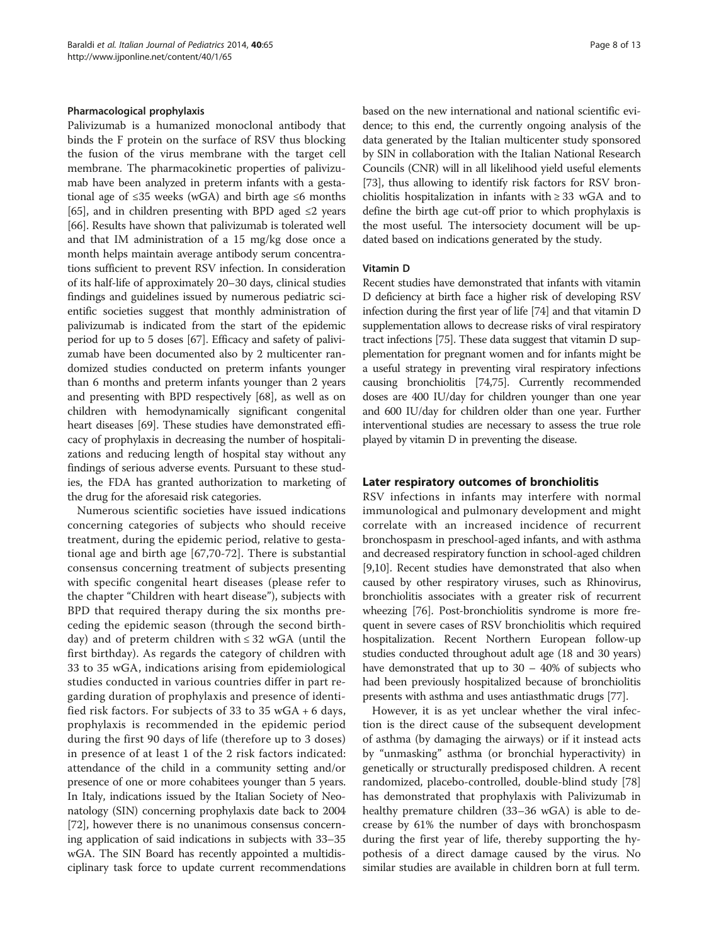#### Pharmacological prophylaxis

Palivizumab is a humanized monoclonal antibody that binds the F protein on the surface of RSV thus blocking the fusion of the virus membrane with the target cell membrane. The pharmacokinetic properties of palivizumab have been analyzed in preterm infants with a gestational age of  $\leq$ 35 weeks (wGA) and birth age  $\leq$ 6 months [[65](#page-11-0)], and in children presenting with BPD aged  $\leq 2$  years [[66](#page-11-0)]. Results have shown that palivizumab is tolerated well and that IM administration of a 15 mg/kg dose once a month helps maintain average antibody serum concentrations sufficient to prevent RSV infection. In consideration of its half-life of approximately 20–30 days, clinical studies findings and guidelines issued by numerous pediatric scientific societies suggest that monthly administration of palivizumab is indicated from the start of the epidemic period for up to 5 doses [\[67\]](#page-11-0). Efficacy and safety of palivizumab have been documented also by 2 multicenter randomized studies conducted on preterm infants younger than 6 months and preterm infants younger than 2 years and presenting with BPD respectively [[68](#page-11-0)], as well as on children with hemodynamically significant congenital heart diseases [[69](#page-11-0)]. These studies have demonstrated efficacy of prophylaxis in decreasing the number of hospitalizations and reducing length of hospital stay without any findings of serious adverse events. Pursuant to these studies, the FDA has granted authorization to marketing of the drug for the aforesaid risk categories.

Numerous scientific societies have issued indications concerning categories of subjects who should receive treatment, during the epidemic period, relative to gestational age and birth age [\[67](#page-11-0),[70-](#page-11-0)[72](#page-12-0)]. There is substantial consensus concerning treatment of subjects presenting with specific congenital heart diseases (please refer to the chapter "Children with heart disease"), subjects with BPD that required therapy during the six months preceding the epidemic season (through the second birthday) and of preterm children with ≤ 32 wGA (until the first birthday). As regards the category of children with 33 to 35 wGA, indications arising from epidemiological studies conducted in various countries differ in part regarding duration of prophylaxis and presence of identified risk factors. For subjects of 33 to 35 wGA + 6 days, prophylaxis is recommended in the epidemic period during the first 90 days of life (therefore up to 3 doses) in presence of at least 1 of the 2 risk factors indicated: attendance of the child in a community setting and/or presence of one or more cohabitees younger than 5 years. In Italy, indications issued by the Italian Society of Neonatology (SIN) concerning prophylaxis date back to 2004 [[72](#page-12-0)], however there is no unanimous consensus concerning application of said indications in subjects with 33–35 wGA. The SIN Board has recently appointed a multidisciplinary task force to update current recommendations based on the new international and national scientific evidence; to this end, the currently ongoing analysis of the data generated by the Italian multicenter study sponsored by SIN in collaboration with the Italian National Research Councils (CNR) will in all likelihood yield useful elements [[73](#page-12-0)], thus allowing to identify risk factors for RSV bronchiolitis hospitalization in infants with  $\geq$  33 wGA and to define the birth age cut-off prior to which prophylaxis is the most useful. The intersociety document will be updated based on indications generated by the study.

#### Vitamin D

Recent studies have demonstrated that infants with vitamin D deficiency at birth face a higher risk of developing RSV infection during the first year of life [\[74\]](#page-12-0) and that vitamin D supplementation allows to decrease risks of viral respiratory tract infections [[75](#page-12-0)]. These data suggest that vitamin D supplementation for pregnant women and for infants might be a useful strategy in preventing viral respiratory infections causing bronchiolitis [\[74,75](#page-12-0)]. Currently recommended doses are 400 IU/day for children younger than one year and 600 IU/day for children older than one year. Further interventional studies are necessary to assess the true role played by vitamin D in preventing the disease.

#### Later respiratory outcomes of bronchiolitis

RSV infections in infants may interfere with normal immunological and pulmonary development and might correlate with an increased incidence of recurrent bronchospasm in preschool-aged infants, and with asthma and decreased respiratory function in school-aged children [[9,10](#page-10-0)]. Recent studies have demonstrated that also when caused by other respiratory viruses, such as Rhinovirus, bronchiolitis associates with a greater risk of recurrent wheezing [[76](#page-12-0)]. Post-bronchiolitis syndrome is more frequent in severe cases of RSV bronchiolitis which required hospitalization. Recent Northern European follow-up studies conducted throughout adult age (18 and 30 years) have demonstrated that up to  $30 - 40\%$  of subjects who had been previously hospitalized because of bronchiolitis presents with asthma and uses antiasthmatic drugs [\[77\]](#page-12-0).

However, it is as yet unclear whether the viral infection is the direct cause of the subsequent development of asthma (by damaging the airways) or if it instead acts by "unmasking" asthma (or bronchial hyperactivity) in genetically or structurally predisposed children. A recent randomized, placebo-controlled, double-blind study [[78](#page-12-0)] has demonstrated that prophylaxis with Palivizumab in healthy premature children (33–36 wGA) is able to decrease by 61% the number of days with bronchospasm during the first year of life, thereby supporting the hypothesis of a direct damage caused by the virus. No similar studies are available in children born at full term.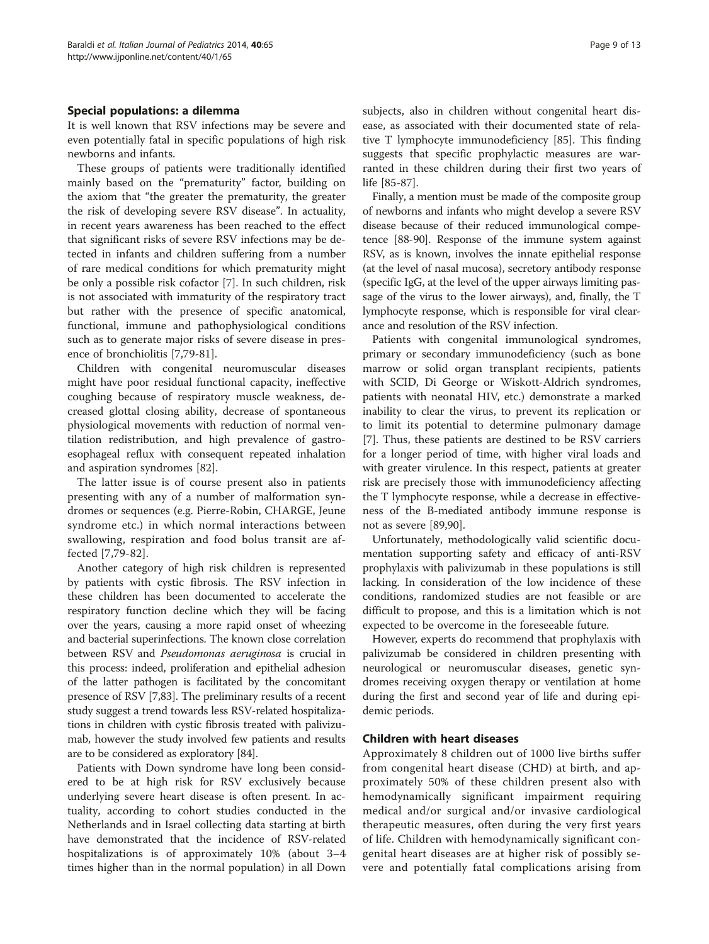# Special populations: a dilemma

It is well known that RSV infections may be severe and even potentially fatal in specific populations of high risk newborns and infants.

These groups of patients were traditionally identified mainly based on the "prematurity" factor, building on the axiom that "the greater the prematurity, the greater the risk of developing severe RSV disease". In actuality, in recent years awareness has been reached to the effect that significant risks of severe RSV infections may be detected in infants and children suffering from a number of rare medical conditions for which prematurity might be only a possible risk cofactor [\[7\]](#page-10-0). In such children, risk is not associated with immaturity of the respiratory tract but rather with the presence of specific anatomical, functional, immune and pathophysiological conditions such as to generate major risks of severe disease in presence of bronchiolitis [[7,](#page-10-0)[79-81](#page-12-0)].

Children with congenital neuromuscular diseases might have poor residual functional capacity, ineffective coughing because of respiratory muscle weakness, decreased glottal closing ability, decrease of spontaneous physiological movements with reduction of normal ventilation redistribution, and high prevalence of gastroesophageal reflux with consequent repeated inhalation and aspiration syndromes [\[82\]](#page-12-0).

The latter issue is of course present also in patients presenting with any of a number of malformation syndromes or sequences (e.g. Pierre-Robin, CHARGE, Jeune syndrome etc.) in which normal interactions between swallowing, respiration and food bolus transit are affected [[7](#page-10-0)[,79-82](#page-12-0)].

Another category of high risk children is represented by patients with cystic fibrosis. The RSV infection in these children has been documented to accelerate the respiratory function decline which they will be facing over the years, causing a more rapid onset of wheezing and bacterial superinfections. The known close correlation between RSV and Pseudomonas aeruginosa is crucial in this process: indeed, proliferation and epithelial adhesion of the latter pathogen is facilitated by the concomitant presence of RSV [\[7,](#page-10-0)[83](#page-12-0)]. The preliminary results of a recent study suggest a trend towards less RSV-related hospitalizations in children with cystic fibrosis treated with palivizumab, however the study involved few patients and results are to be considered as exploratory [\[84\]](#page-12-0).

Patients with Down syndrome have long been considered to be at high risk for RSV exclusively because underlying severe heart disease is often present. In actuality, according to cohort studies conducted in the Netherlands and in Israel collecting data starting at birth have demonstrated that the incidence of RSV-related hospitalizations is of approximately 10% (about 3–4 times higher than in the normal population) in all Down subjects, also in children without congenital heart disease, as associated with their documented state of relative T lymphocyte immunodeficiency [\[85\]](#page-12-0). This finding suggests that specific prophylactic measures are warranted in these children during their first two years of life [\[85](#page-12-0)-[87](#page-12-0)].

Finally, a mention must be made of the composite group of newborns and infants who might develop a severe RSV disease because of their reduced immunological competence [\[88-90\]](#page-12-0). Response of the immune system against RSV, as is known, involves the innate epithelial response (at the level of nasal mucosa), secretory antibody response (specific IgG, at the level of the upper airways limiting passage of the virus to the lower airways), and, finally, the T lymphocyte response, which is responsible for viral clearance and resolution of the RSV infection.

Patients with congenital immunological syndromes, primary or secondary immunodeficiency (such as bone marrow or solid organ transplant recipients, patients with SCID, Di George or Wiskott-Aldrich syndromes, patients with neonatal HIV, etc.) demonstrate a marked inability to clear the virus, to prevent its replication or to limit its potential to determine pulmonary damage [[7\]](#page-10-0). Thus, these patients are destined to be RSV carriers for a longer period of time, with higher viral loads and with greater virulence. In this respect, patients at greater risk are precisely those with immunodeficiency affecting the T lymphocyte response, while a decrease in effectiveness of the B-mediated antibody immune response is not as severe [[89,90\]](#page-12-0).

Unfortunately, methodologically valid scientific documentation supporting safety and efficacy of anti-RSV prophylaxis with palivizumab in these populations is still lacking. In consideration of the low incidence of these conditions, randomized studies are not feasible or are difficult to propose, and this is a limitation which is not expected to be overcome in the foreseeable future.

However, experts do recommend that prophylaxis with palivizumab be considered in children presenting with neurological or neuromuscular diseases, genetic syndromes receiving oxygen therapy or ventilation at home during the first and second year of life and during epidemic periods.

# Children with heart diseases

Approximately 8 children out of 1000 live births suffer from congenital heart disease (CHD) at birth, and approximately 50% of these children present also with hemodynamically significant impairment requiring medical and/or surgical and/or invasive cardiological therapeutic measures, often during the very first years of life. Children with hemodynamically significant congenital heart diseases are at higher risk of possibly severe and potentially fatal complications arising from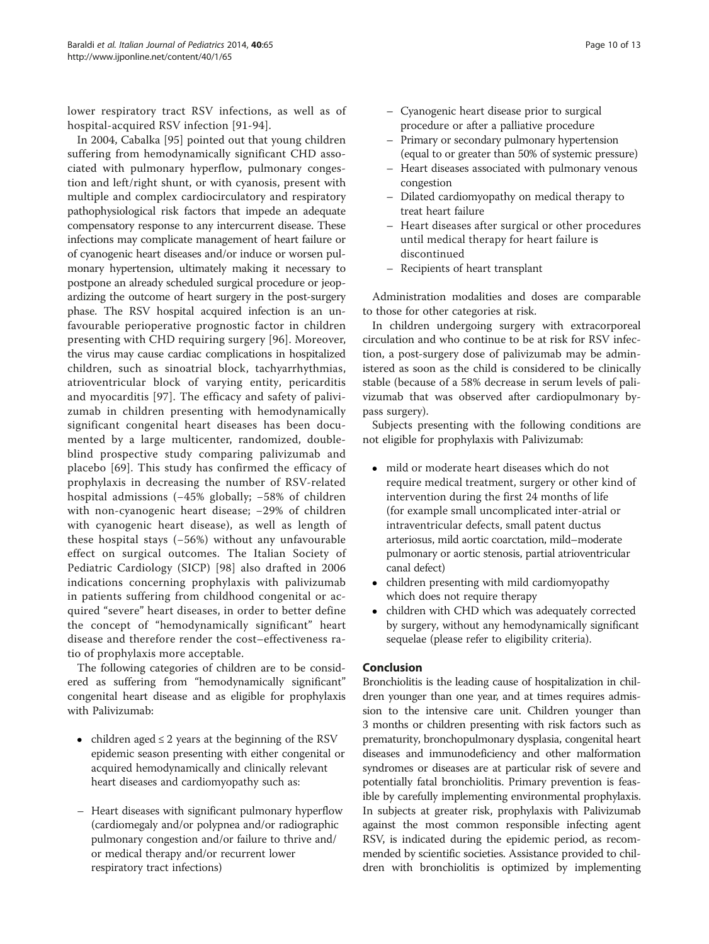lower respiratory tract RSV infections, as well as of hospital-acquired RSV infection [\[91-94](#page-12-0)].

In 2004, Cabalka [[95](#page-12-0)] pointed out that young children suffering from hemodynamically significant CHD associated with pulmonary hyperflow, pulmonary congestion and left/right shunt, or with cyanosis, present with multiple and complex cardiocirculatory and respiratory pathophysiological risk factors that impede an adequate compensatory response to any intercurrent disease. These infections may complicate management of heart failure or of cyanogenic heart diseases and/or induce or worsen pulmonary hypertension, ultimately making it necessary to postpone an already scheduled surgical procedure or jeopardizing the outcome of heart surgery in the post-surgery phase. The RSV hospital acquired infection is an unfavourable perioperative prognostic factor in children presenting with CHD requiring surgery [[96](#page-12-0)]. Moreover, the virus may cause cardiac complications in hospitalized children, such as sinoatrial block, tachyarrhythmias, atrioventricular block of varying entity, pericarditis and myocarditis [[97\]](#page-12-0). The efficacy and safety of palivizumab in children presenting with hemodynamically significant congenital heart diseases has been documented by a large multicenter, randomized, doubleblind prospective study comparing palivizumab and placebo [\[69](#page-11-0)]. This study has confirmed the efficacy of prophylaxis in decreasing the number of RSV-related hospital admissions (−45% globally; −58% of children with non-cyanogenic heart disease; −29% of children with cyanogenic heart disease), as well as length of these hospital stays (−56%) without any unfavourable effect on surgical outcomes. The Italian Society of Pediatric Cardiology (SICP) [[98\]](#page-12-0) also drafted in 2006 indications concerning prophylaxis with palivizumab in patients suffering from childhood congenital or acquired "severe" heart diseases, in order to better define the concept of "hemodynamically significant" heart disease and therefore render the cost–effectiveness ratio of prophylaxis more acceptable.

The following categories of children are to be considered as suffering from "hemodynamically significant" congenital heart disease and as eligible for prophylaxis with Palivizumab:

- children aged  $\leq$  2 years at the beginning of the RSV epidemic season presenting with either congenital or acquired hemodynamically and clinically relevant heart diseases and cardiomyopathy such as:
- Heart diseases with significant pulmonary hyperflow (cardiomegaly and/or polypnea and/or radiographic pulmonary congestion and/or failure to thrive and/ or medical therapy and/or recurrent lower respiratory tract infections)
- Cyanogenic heart disease prior to surgical procedure or after a palliative procedure
- Primary or secondary pulmonary hypertension (equal to or greater than 50% of systemic pressure)
- Heart diseases associated with pulmonary venous congestion
- Dilated cardiomyopathy on medical therapy to treat heart failure
- Heart diseases after surgical or other procedures until medical therapy for heart failure is discontinued
- Recipients of heart transplant

Administration modalities and doses are comparable to those for other categories at risk.

In children undergoing surgery with extracorporeal circulation and who continue to be at risk for RSV infection, a post-surgery dose of palivizumab may be administered as soon as the child is considered to be clinically stable (because of a 58% decrease in serum levels of palivizumab that was observed after cardiopulmonary bypass surgery).

Subjects presenting with the following conditions are not eligible for prophylaxis with Palivizumab:

- mild or moderate heart diseases which do not require medical treatment, surgery or other kind of intervention during the first 24 months of life (for example small uncomplicated inter-atrial or intraventricular defects, small patent ductus arteriosus, mild aortic coarctation, mild–moderate pulmonary or aortic stenosis, partial atrioventricular canal defect)
- children presenting with mild cardiomyopathy which does not require therapy
- children with CHD which was adequately corrected by surgery, without any hemodynamically significant sequelae (please refer to eligibility criteria).

# Conclusion

Bronchiolitis is the leading cause of hospitalization in children younger than one year, and at times requires admission to the intensive care unit. Children younger than 3 months or children presenting with risk factors such as prematurity, bronchopulmonary dysplasia, congenital heart diseases and immunodeficiency and other malformation syndromes or diseases are at particular risk of severe and potentially fatal bronchiolitis. Primary prevention is feasible by carefully implementing environmental prophylaxis. In subjects at greater risk, prophylaxis with Palivizumab against the most common responsible infecting agent RSV, is indicated during the epidemic period, as recommended by scientific societies. Assistance provided to children with bronchiolitis is optimized by implementing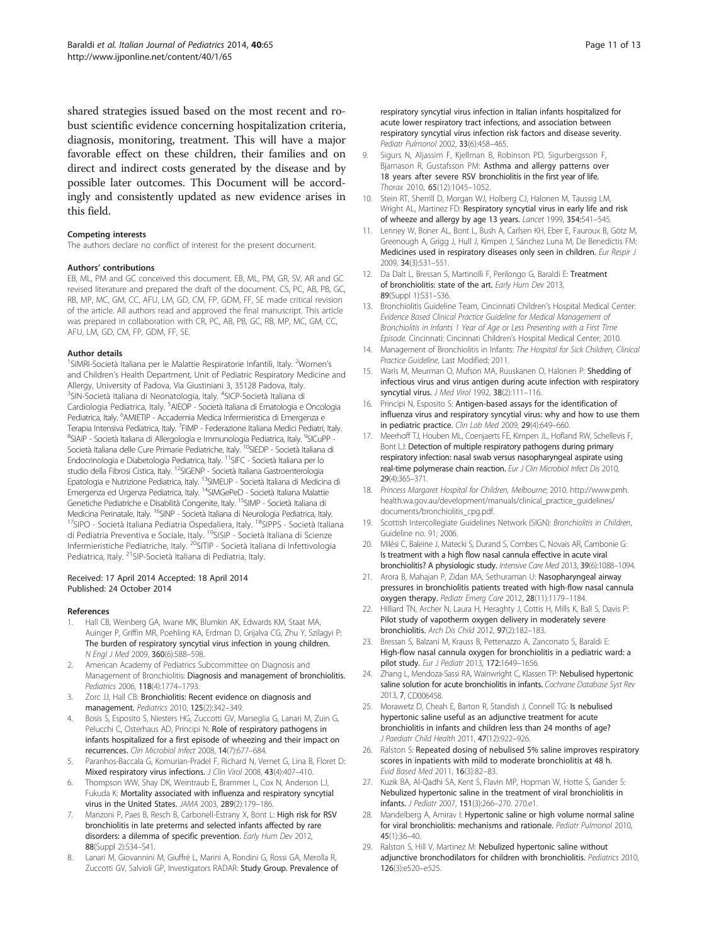<span id="page-10-0"></span>shared strategies issued based on the most recent and robust scientific evidence concerning hospitalization criteria, diagnosis, monitoring, treatment. This will have a major favorable effect on these children, their families and on direct and indirect costs generated by the disease and by possible later outcomes. This Document will be accordingly and consistently updated as new evidence arises in this field.

#### Competing interests

The authors declare no conflict of interest for the present document.

#### Authors' contributions

EB, ML, PM and GC conceived this document. EB, ML, PM, GR, SV, AR and GC revised literature and prepared the draft of the document. CS, PC, AB, PB, GC, RB, MP, MC, GM, CC, AFU, LM, GD, CM, FP, GDM, FF, SE made critical revision of the article. All authors read and approved the final manuscript. This article was prepared in collaboration with CR, PC, AB, PB, GC, RB, MP, MC, GM, CC, AFU, LM, GD, CM, FP, GDM, FF, SE.

#### Author details

<sup>1</sup>SIMRI-Società Italiana per le Malattie Respiratorie Infantili, Italy. <sup>2</sup>Women's and Children's Health Department, Unit of Pediatric Respiratory Medicine and Allergy, University of Padova, Via Giustiniani 3, 35128 Padova, Italy. <sup>3</sup>SIN-Società Italiana di Neonatologia, Italy. <sup>4</sup>SICP-Società Italiana di Cardiologia Pediatrica, Italy. <sup>5</sup>AIEOP - Società Italiana di Ematologia e Oncologia Pediatrica, Italy. <sup>6</sup>AMIETIP - Accademia Medica Infermieristica di Emergenza e Terapia Intensiva Pediatrica, Italy. <sup>7</sup>FIMP - Federazione Italiana Medici Pediatri, Italy.<br><sup>8</sup>SLAIP - Società Italiana di Allergelogia e Immunologia Pediatrica Italy. <sup>9</sup>SLGUPP. SIAIP - Società Italiana di Allergologia e Immunologia Pediatrica, Italy. <sup>9</sup>SICuPP -Società Italiana delle Cure Primarie Pediatriche, Italy. <sup>10</sup>SIEDP - Società Italiana di Endocrinologia e Diabetologia Pediatrica, Italy. <sup>11</sup>SIFC - Società Italiana per lo studio della Fibrosi Cistica, Italy. <sup>12</sup>SIGENP - Società Italiana Gastroenterologia Epatologia e Nutrizione Pediatrica, Italy. 13SIMEUP - Società Italiana di Medicina di Emergenza ed Urgenza Pediatrica, Italy. 14SIMGePeD - Società Italiana Malattie Genetiche Pediatriche e Disabilità Congenite, Italy. <sup>15</sup>SIMP - Società Italiana di Medicina Perinatale, Italy. <sup>16</sup>SINP - Società Italiana di Neurologia Pediatrica, Italy.<br><sup>17</sup>SIPO - Società Italiana Pediatria Ospedaliera, Italy. <sup>18</sup>SIPPS - Società Italiana di Pediatria Preventiva e Sociale, Italy. 19SISIP - Società Italiana di Scienze Infermieristiche Pediatriche, Italy. <sup>20</sup>SITIP - Società Italiana di Infettivologia Pediatrica, Italy. <sup>21</sup>SIP-Società Italiana di Pediatria, Italy.

#### Received: 17 April 2014 Accepted: 18 April 2014 Published: 24 October 2014

#### References

- Hall CB, Weinberg GA, Iwane MK, Blumkin AK, Edwards KM, Staat MA, Auinger P, Griffin MR, Poehling KA, Erdman D, Grijalva CG, Zhu Y, Szilagyi P: The burden of respiratory syncytial virus infection in young children. N Engl J Med 2009, 360(6):588–598.
- 2. American Academy of Pediatrics Subcommittee on Diagnosis and Management of Bronchiolitis: Diagnosis and management of bronchiolitis. Pediatrics 2006, 118(4):1774–1793.
- 3. Zorc JJ, Hall CB: Bronchiolitis: Recent evidence on diagnosis and management. Pediatrics 2010, 125(2):342–349.
- 4. Bosis S, Esposito S, Niesters HG, Zuccotti GV, Marseglia G, Lanari M, Zuin G, Pelucchi C, Osterhaus AD, Principi N: Role of respiratory pathogens in infants hospitalized for a first episode of wheezing and their impact on recurrences. Clin Microbiol Infect 2008, 14(7):677–684.
- Paranhos-Baccala G, Komurian-Pradel F, Richard N, Vernet G, Lina B, Floret D: Mixed respiratory virus infections. J Clin Virol 2008, 43(4):407-410.
- 6. Thompson WW, Shay DK, Weintraub E, Brammer L, Cox N, Anderson LJ, Fukuda K: Mortality associated with influenza and respiratory syncytial virus in the United States. JAMA 2003, 289(2):179–186.
- Manzoni P, Paes B, Resch B, Carbonell-Estrany X, Bont L: High risk for RSV bronchiolitis in late preterms and selected infants affected by rare disorders: a dilemma of specific prevention. Early Hum Dev 2012, 88(Suppl 2):S34–S41.
- 8. Lanari M, Giovannini M, Giuffré L, Marini A, Rondini G, Rossi GA, Merolla R, Zuccotti GV, Salvioli GP, Investigators RADAR: Study Group. Prevalence of

respiratory syncytial virus infection in Italian infants hospitalized for acute lower respiratory tract infections, and association between respiratory syncytial virus infection risk factors and disease severity. Pediatr Pulmonol 2002, 33(6):458–465.

- 9. Sigurs N, Aljassim F, Kjellman B, Robinson PD, Sigurbergsson F, Bjarnason R, Gustafsson PM: Asthma and allergy patterns over 18 years after severe RSV bronchiolitis in the first year of life. Thorax 2010, 65(12):1045–1052.
- 10. Stein RT, Sherrill D, Morgan WJ, Holberg CJ, Halonen M, Taussig LM, Wright AL, Martinez FD: Respiratory syncytial virus in early life and risk of wheeze and allergy by age 13 years. Lancet 1999, 354:541–545.
- 11. Lenney W, Boner AL, Bont L, Bush A, Carlsen KH, Eber E, Fauroux B, Götz M, Greenough A, Grigg J, Hull J, Kimpen J, Sánchez Luna M, De Benedictis FM: Medicines used in respiratory diseases only seen in children. Eur Respir J 2009, 34(3):531–551.
- 12. Da Dalt L, Bressan S, Martinolli F, Perilongo G, Baraldi E: Treatment of bronchiolitis: state of the art. Early Hum Dev 2013, 89(Suppl 1):S31–S36.
- 13. Bronchiolitis Guideline Team, Cincinnati Children's Hospital Medical Center: Evidence Based Clinical Practice Guideline for Medical Management of Bronchiolitis in Infants 1 Year of Age or Less Presenting with a First Time Episode. Cincinnati: Cincinnati Children's Hospital Medical Center; 2010.
- 14. Management of Bronchiolitis in Infants: The Hospital for Sick Children, Clinical Practice Guideline, Last Modified; 2011.
- 15. Waris M, Meurman O, Mufson MA, Ruuskanen O, Halonen P: Shedding of infectious virus and virus antigen during acute infection with respiratory syncytial virus. J Med Virol 1992, 38(2):111-116.
- 16. Principi N, Esposito S: Antigen-based assays for the identification of influenza virus and respiratory syncytial virus: why and how to use them in pediatric practice. Clin Lab Med 2009, 29(4):649–660.
- 17. Meerhoff TJ, Houben ML, Coenjaerts FE, Kimpen JL, Hofland RW, Schellevis F, Bont LJ: Detection of multiple respiratory pathogens during primary respiratory infection: nasal swab versus nasopharyngeal aspirate using real-time polymerase chain reaction. Eur J Clin Microbiol Infect Dis 2010, 29(4):365–371.
- 18. Princess Margaret Hospital for Children, Melbourne; 2010. [http://www.pmh.](http://www.pmh.health.wa.gov.au/development/manuals/clinical_practice_guidelines/documents/bronchiolitis_cpg.pdf) [health.wa.gov.au/development/manuals/clinical\\_practice\\_guidelines/](http://www.pmh.health.wa.gov.au/development/manuals/clinical_practice_guidelines/documents/bronchiolitis_cpg.pdf) [documents/bronchiolitis\\_cpg.pdf](http://www.pmh.health.wa.gov.au/development/manuals/clinical_practice_guidelines/documents/bronchiolitis_cpg.pdf).
- 19. Scottish Intercollegiate Guidelines Network (SIGN): Bronchiolitis in Children, Guideline no. 91; 2006.
- 20. Milési C, Baleine J, Matecki S, Durand S, Combes C, Novais AR, Cambonie G: Is treatment with a high flow nasal cannula effective in acute viral bronchiolitis? A physiologic study. Intensive Care Med 2013, 39(6):1088–1094.
- 21. Arora B, Mahajan P, Zidan MA, Sethuraman U: Nasopharyngeal airway pressures in bronchiolitis patients treated with high-flow nasal cannula oxygen therapy. Pediatr Emerg Care 2012, 28(11):1179–1184.
- 22. Hilliard TN, Archer N, Laura H, Heraghty J, Cottis H, Mills K, Ball S, Davis P: Pilot study of vapotherm oxygen delivery in moderately severe bronchiolitis. Arch Dis Child 2012, 97(2):182–183.
- 23. Bressan S, Balzani M, Krauss B, Pettenazzo A, Zanconato S, Baraldi E: High-flow nasal cannula oxygen for bronchiolitis in a pediatric ward: a pilot study. Eur J Pediatr 2013, 172:1649–1656.
- 24. Zhang L, Mendoza-Sassi RA, Wainwright C, Klassen TP: Nebulised hypertonic saline solution for acute bronchiolitis in infants. Cochrane Database Syst Rev 2013, 7, CD006458.
- 25. Morawetz D, Cheah E, Barton R, Standish J, Connell TG: Is nebulised hypertonic saline useful as an adjunctive treatment for acute bronchiolitis in infants and children less than 24 months of age? J Paediatr Child Health 2011, 47(12):922–926.
- 26. Ralston S: Repeated dosing of nebulised 5% saline improves respiratory scores in inpatients with mild to moderate bronchiolitis at 48 h. Evid Based Med 2011, 16(3):82–83.
- 27. Kuzik BA, Al-Qadhi SA, Kent S, Flavin MP, Hopman W, Hotte S, Gander S: Nebulized hypertonic saline in the treatment of viral bronchiolitis in infants. J Pediatr 2007, 151(3):266–270. 270.e1.
- 28. Mandelberg A, Amirav I: Hypertonic saline or high volume normal saline for viral bronchiolitis: mechanisms and rationale. Pediatr Pulmonol 2010, 45(1):36–40.
- 29. Ralston S, Hill V, Martinez M: Nebulized hypertonic saline without adjunctive bronchodilators for children with bronchiolitis. Pediatrics 2010, 126(3):e520–e525.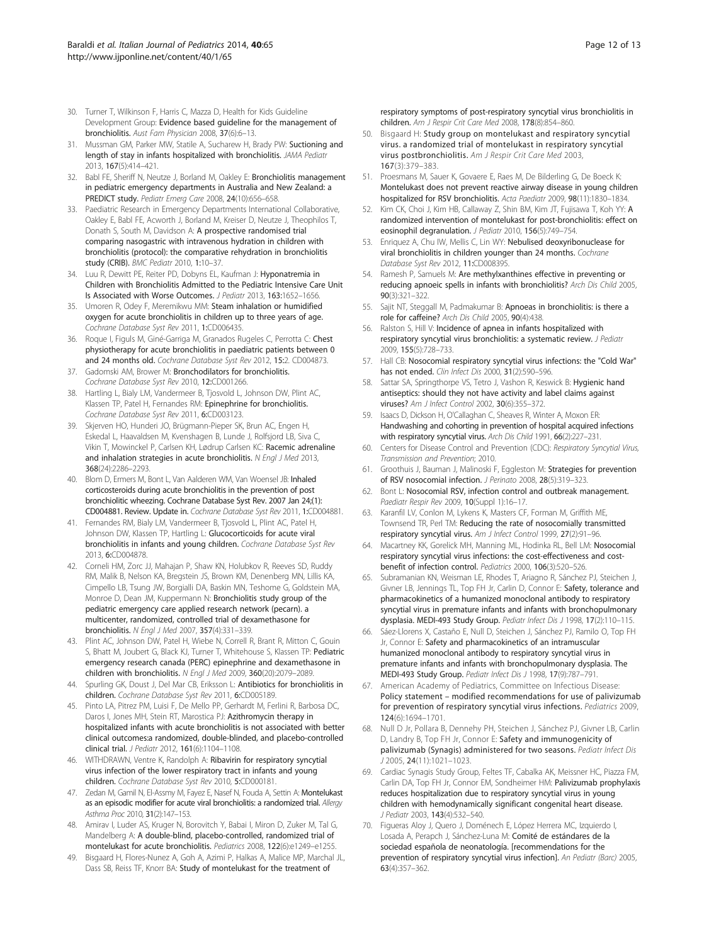- <span id="page-11-0"></span>30. Turner T, Wilkinson F, Harris C, Mazza D, Health for Kids Guideline Development Group: Evidence based guideline for the management of bronchiolitis. Aust Fam Physician 2008, 37(6):6–13.
- 31. Mussman GM, Parker MW, Statile A, Sucharew H, Brady PW: Suctioning and length of stay in infants hospitalized with bronchiolitis. JAMA Pediatr 2013, 167(5):414–421.
- 32. Babl FE, Sheriff N, Neutze J, Borland M, Oakley E: Bronchiolitis management in pediatric emergency departments in Australia and New Zealand: a PREDICT study. Pediatr Emerg Care 2008, 24(10):656–658.
- 33. Paediatric Research in Emergency Departments International Collaborative, Oakley E, Babl FE, Acworth J, Borland M, Kreiser D, Neutze J, Theophilos T, Donath S, South M, Davidson A: A prospective randomised trial comparing nasogastric with intravenous hydration in children with bronchiolitis (protocol): the comparative rehydration in bronchiolitis study (CRIB). BMC Pediatr 2010, 1:10–37.
- 34. Luu R, Dewitt PE, Reiter PD, Dobyns EL, Kaufman J: Hyponatremia in Children with Bronchiolitis Admitted to the Pediatric Intensive Care Unit Is Associated with Worse Outcomes. J Pediatr 2013, 163:1652–1656.
- 35. Umoren R, Odey F, Meremikwu MM: Steam inhalation or humidified oxygen for acute bronchiolitis in children up to three years of age. Cochrane Database Syst Rev 2011, 1:CD006435.
- 36. Roque I, Figuls M, Giné-Garriga M, Granados Rugeles C, Perrotta C: Chest physiotherapy for acute bronchiolitis in paediatric patients between 0 and 24 months old. Cochrane Database Syst Rev 2012, 15:2. CD004873.
- 37. Gadomski AM, Brower M: Bronchodilators for bronchiolitis. Cochrane Database Syst Rev 2010, 12:CD001266.
- 38. Hartling L, Bialy LM, Vandermeer B, Tjosvold L, Johnson DW, Plint AC, Klassen TP, Patel H, Fernandes RM: Epinephrine for bronchiolitis. Cochrane Database Syst Rev 2011, 6:CD003123.
- 39. Skjerven HO, Hunderi JO, Brügmann-Pieper SK, Brun AC, Engen H, Eskedal L, Haavaldsen M, Kvenshagen B, Lunde J, Rolfsjord LB, Siva C, Vikin T, Mowinckel P, Carlsen KH, Lødrup Carlsen KC: Racemic adrenaline and inhalation strategies in acute bronchiolitis. N Engl J Med 2013, 368(24):2286–2293.
- 40. Blom D, Ermers M, Bont L, Van Aalderen WM, Van Woensel JB: Inhaled corticosteroids during acute bronchiolitis in the prevention of post bronchiolitic wheezing. Cochrane Database Syst Rev. 2007 Jan 24;(1): CD004881. Review. Update in. Cochrane Database Syst Rev 2011, 1:CD004881.
- 41. Fernandes RM, Bialy LM, Vandermeer B, Tjosvold L, Plint AC, Patel H, Johnson DW, Klassen TP, Hartling L: Glucocorticoids for acute viral bronchiolitis in infants and young children. Cochrane Database Syst Rev 2013, 6:CD004878.
- 42. Corneli HM, Zorc JJ, Mahajan P, Shaw KN, Holubkov R, Reeves SD, Ruddy RM, Malik B, Nelson KA, Bregstein JS, Brown KM, Denenberg MN, Lillis KA, Cimpello LB, Tsung JW, Borgialli DA, Baskin MN, Teshome G, Goldstein MA, Monroe D, Dean JM, Kuppermann N: Bronchiolitis study group of the pediatric emergency care applied research network (pecarn). a multicenter, randomized, controlled trial of dexamethasone for bronchiolitis. N Engl J Med 2007, 357(4):331–339.
- 43. Plint AC, Johnson DW, Patel H, Wiebe N, Correll R, Brant R, Mitton C, Gouin S, Bhatt M, Joubert G, Black KJ, Turner T, Whitehouse S, Klassen TP: Pediatric emergency research canada (PERC) epinephrine and dexamethasone in children with bronchiolitis. N Engl J Med 2009, 360(20):2079–2089.
- 44. Spurling GK, Doust J, Del Mar CB, Eriksson L: Antibiotics for bronchiolitis in children. Cochrane Database Syst Rev 2011, 6:CD005189.
- 45. Pinto LA, Pitrez PM, Luisi F, De Mello PP, Gerhardt M, Ferlini R, Barbosa DC, Daros I, Jones MH, Stein RT, Marostica PJ: Azithromycin therapy in hospitalized infants with acute bronchiolitis is not associated with better clinical outcomes:a randomized, double-blinded, and placebo-controlled clinical trial. J Pediatr 2012, 161(6):1104–1108.
- 46. WITHDRAWN, Ventre K, Randolph A: Ribavirin for respiratory syncytial virus infection of the lower respiratory tract in infants and young children. Cochrane Database Syst Rev 2010, 5:CD000181.
- 47. Zedan M, Gamil N, El-Assmy M, Fayez E, Nasef N, Fouda A, Settin A: Montelukast as an episodic modifier for acute viral bronchiolitis: a randomized trial. Allergy Asthma Proc 2010, 31(2):147–153.
- 48. Amirav I, Luder AS, Kruger N, Borovitch Y, Babai I, Miron D, Zuker M, Tal G, Mandelberg A: A double-blind, placebo-controlled, randomized trial of montelukast for acute bronchiolitis. Pediatrics 2008, 122(6):e1249–e1255.
- 49. Bisgaard H, Flores-Nunez A, Goh A, Azimi P, Halkas A, Malice MP, Marchal JL, Dass SB, Reiss TF, Knorr BA: Study of montelukast for the treatment of

respiratory symptoms of post-respiratory syncytial virus bronchiolitis in children. Am J Respir Crit Care Med 2008, 178(8):854–860.

- 50. Bisgaard H: Study group on montelukast and respiratory syncytial virus. a randomized trial of montelukast in respiratory syncytial virus postbronchiolitis. Am J Respir Crit Care Med 2003, 167(3):379–383.
- 51. Proesmans M, Sauer K, Govaere E, Raes M, De Bilderling G, De Boeck K: Montelukast does not prevent reactive airway disease in young children hospitalized for RSV bronchiolitis. Acta Paediatr 2009, 98(11):1830–1834.
- 52. Kim CK, Choi J, Kim HB, Callaway Z, Shin BM, Kim JT, Fujisawa T, Koh YY: A randomized intervention of montelukast for post-bronchiolitis: effect on eosinophil degranulation. J Pediatr 2010, 156(5):749-754.
- 53. Enriquez A, Chu IW, Mellis C, Lin WY: Nebulised deoxyribonuclease for viral bronchiolitis in children younger than 24 months. Cochrane Database Syst Rev 2012, 11:CD008395.
- 54. Ramesh P, Samuels M: Are methylxanthines effective in preventing or reducing apnoeic spells in infants with bronchiolitis? Arch Dis Child 2005, 90(3):321–322.
- 55. Sajit NT, Steggall M, Padmakumar B: Apnoeas in bronchiolitis: is there a role for caffeine? Arch Dis Child 2005, 90(4):438.
- 56. Ralston S, Hill V: Incidence of apnea in infants hospitalized with respiratory syncytial virus bronchiolitis: a systematic review. J Pediatr 2009, 155(5):728–733.
- 57. Hall CB: Nosocomial respiratory syncytial virus infections: the "Cold War" has not ended. Clin Infect Dis 2000, 31(2):590-596.
- 58. Sattar SA, Springthorpe VS, Tetro J, Vashon R, Keswick B: Hygienic hand antiseptics: should they not have activity and label claims against viruses? Am J Infect Control 2002, 30(6):355–372.
- 59. Isaacs D, Dickson H, O'Callaghan C, Sheaves R, Winter A, Moxon ER: Handwashing and cohorting in prevention of hospital acquired infections with respiratory syncytial virus. Arch Dis Child 1991, 66(2):227-231.
- 60. Centers for Disease Control and Prevention (CDC): Respiratory Syncytial Virus, Transmission and Prevention; 2010.
- 61. Groothuis J, Bauman J, Malinoski F, Eggleston M: Strategies for prevention of RSV nosocomial infection. J Perinato 2008, 28(5):319–323.
- 62. Bont L: Nosocomial RSV, infection control and outbreak management. Paediatr Respir Rev 2009, 10(Suppl 1):16-17.
- 63. Karanfil LV, Conlon M, Lykens K, Masters CF, Forman M, Griffith ME, Townsend TR, Perl TM: Reducing the rate of nosocomially transmitted respiratory syncytial virus. Am J Infect Control 1999, 27(2):91–96.
- 64. Macartney KK, Gorelick MH, Manning ML, Hodinka RL, Bell LM: Nosocomial respiratory syncytial virus infections: the cost-effectiveness and costbenefit of infection control. Pediatrics 2000, 106(3):520–526.
- 65. Subramanian KN, Weisman LE, Rhodes T, Ariagno R, Sánchez PJ, Steichen J, Givner LB, Jennings TL, Top FH Jr, Carlin D, Connor E: Safety, tolerance and pharmacokinetics of a humanized monoclonal antibody to respiratory syncytial virus in premature infants and infants with bronchopulmonary dysplasia. MEDI-493 Study Group. Pediatr Infect Dis J 1998, 17(2):110–115.
- 66. Sáez-Llorens X, Castaño E, Null D, Steichen J, Sánchez PJ, Ramilo O, Top FH Jr, Connor E: Safety and pharmacokinetics of an intramuscular humanized monoclonal antibody to respiratory syncytial virus in premature infants and infants with bronchopulmonary dysplasia. The MEDI-493 Study Group. Pediatr Infect Dis J 1998, 17(9):787–791.
- 67. American Academy of Pediatrics, Committee on Infectious Disease: Policy statement – modified recommendations for use of palivizumab for prevention of respiratory syncytial virus infections. Pediatrics 2009, 124(6):1694–1701.
- 68. Null D Jr, Pollara B, Dennehy PH, Steichen J, Sánchez PJ, Givner LB, Carlin D, Landry B, Top FH Jr, Connor E: Safety and immunogenicity of palivizumab (Synagis) administered for two seasons. Pediatr Infect Dis J 2005, 24(11):1021–1023.
- 69. Cardiac Synagis Study Group, Feltes TF, Cabalka AK, Meissner HC, Piazza FM, Carlin DA, Top FH Jr, Connor EM, Sondheimer HM: Palivizumab prophylaxis reduces hospitalization due to respiratory syncytial virus in young children with hemodynamically significant congenital heart disease. J Pediatr 2003, 143(4):532–540.
- 70. Figueras Aloy J, Quero J, Doménech E, López Herrera MC, Izquierdo I, Losada A, Perapch J, Sánchez-Luna M: Comité de estándares de la sociedad española de neonatología. [recommendations for the prevention of respiratory syncytial virus infection]. An Pediatr (Barc) 2005, 63(4):357–362.